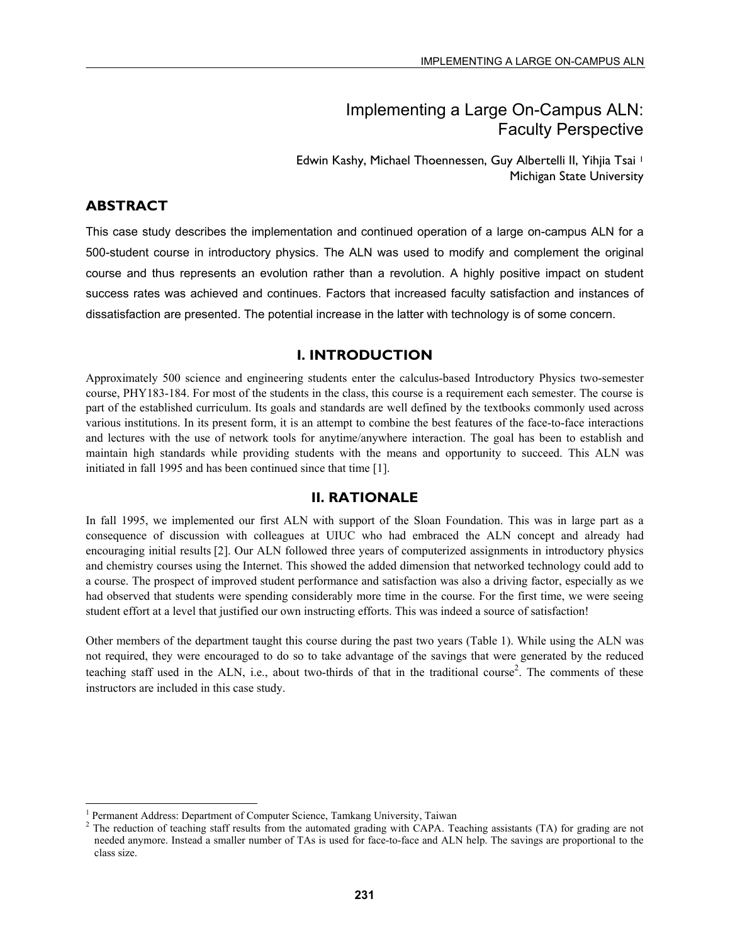# Implementing a Large On-Campus ALN: Faculty Perspective

Edwin Kashy, Michael Thoennessen, Guy Albertelli II, Yihjia Tsai 1 Michigan State University

#### **ABSTRACT**

l

This case study describes the implementation and continued operation of a large on-campus ALN for a 500-student course in introductory physics. The ALN was used to modify and complement the original course and thus represents an evolution rather than a revolution. A highly positive impact on student success rates was achieved and continues. Factors that increased faculty satisfaction and instances of dissatisfaction are presented. The potential increase in the latter with technology is of some concern.

### **I. INTRODUCTION**

Approximately 500 science and engineering students enter the calculus-based Introductory Physics two-semester course, PHY183-184. For most of the students in the class, this course is a requirement each semester. The course is part of the established curriculum. Its goals and standards are well defined by the textbooks commonly used across various institutions. In its present form, it is an attempt to combine the best features of the face-to-face interactions and lectures with the use of network tools for anytime/anywhere interaction. The goal has been to establish and maintain high standards while providing students with the means and opportunity to succeed. This ALN was initiated in fall 1995 and has been continued since that time [1].

#### **II. RATIONALE**

In fall 1995, we implemented our first ALN with support of the Sloan Foundation. This was in large part as a consequence of discussion with colleagues at UIUC who had embraced the ALN concept and already had encouraging initial results [2]. Our ALN followed three years of computerized assignments in introductory physics and chemistry courses using the Internet. This showed the added dimension that networked technology could add to a course. The prospect of improved student performance and satisfaction was also a driving factor, especially as we had observed that students were spending considerably more time in the course. For the first time, we were seeing student effort at a level that justified our own instructing efforts. This was indeed a source of satisfaction!

Other members of the department taught this course during the past two years (Table 1). While using the ALN was not required, they were encouraged to do so to take advantage of the savings that were generated by the reduced teaching staff used in the ALN, i.e., about two-thirds of that in the traditional course<sup>2</sup>. The comments of these instructors are included in this case study.

<sup>1</sup> <sup>1</sup> Permanent Address: Department of Computer Science, Tamkang University, Taiwan  $\frac{2}{\pi}$  The reduction of teaching staff results from the automated grading with CAPA. Te

The reduction of teaching staff results from the automated grading with CAPA. Teaching assistants (TA) for grading are not needed anymore. Instead a smaller number of TAs is used for face-to-face and ALN help. The savings are proportional to the class size.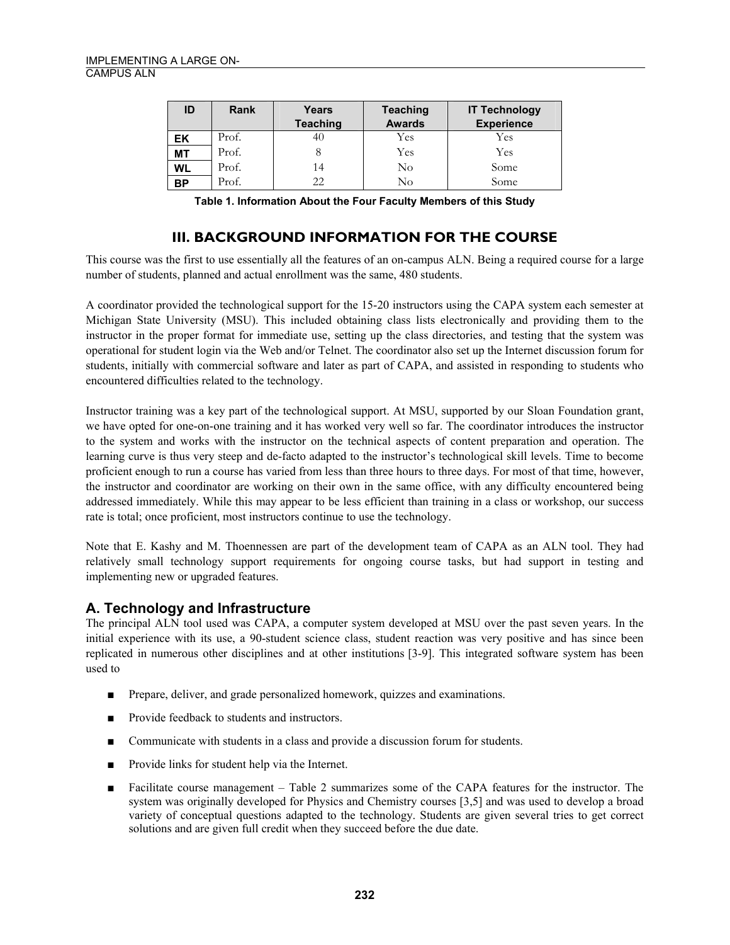| ID        | <b>Rank</b> | Years           | <b>Teaching</b> | <b>IT Technology</b> |
|-----------|-------------|-----------------|-----------------|----------------------|
|           |             | <b>Teaching</b> | <b>Awards</b>   | <b>Experience</b>    |
| EK        | Prof.       | 40              | Yes             | Yes                  |
| <b>MT</b> | Prof.       |                 | Yes             | Yes                  |
| <b>WL</b> | Prof.       | 14              | No              | Some                 |
| <b>BP</b> | Prof.       | 22              | No              | Some                 |

**Table 1. Information About the Four Faculty Members of this Study** 

## **III. BACKGROUND INFORMATION FOR THE COURSE**

This course was the first to use essentially all the features of an on-campus ALN. Being a required course for a large number of students, planned and actual enrollment was the same, 480 students.

A coordinator provided the technological support for the 15-20 instructors using the CAPA system each semester at Michigan State University (MSU). This included obtaining class lists electronically and providing them to the instructor in the proper format for immediate use, setting up the class directories, and testing that the system was operational for student login via the Web and/or Telnet. The coordinator also set up the Internet discussion forum for students, initially with commercial software and later as part of CAPA, and assisted in responding to students who encountered difficulties related to the technology.

Instructor training was a key part of the technological support. At MSU, supported by our Sloan Foundation grant, we have opted for one-on-one training and it has worked very well so far. The coordinator introduces the instructor to the system and works with the instructor on the technical aspects of content preparation and operation. The learning curve is thus very steep and de-facto adapted to the instructor's technological skill levels. Time to become proficient enough to run a course has varied from less than three hours to three days. For most of that time, however, the instructor and coordinator are working on their own in the same office, with any difficulty encountered being addressed immediately. While this may appear to be less efficient than training in a class or workshop, our success rate is total; once proficient, most instructors continue to use the technology.

Note that E. Kashy and M. Thoennessen are part of the development team of CAPA as an ALN tool. They had relatively small technology support requirements for ongoing course tasks, but had support in testing and implementing new or upgraded features.

### **A. Technology and Infrastructure**

The principal ALN tool used was CAPA, a computer system developed at MSU over the past seven years. In the initial experience with its use, a 90-student science class, student reaction was very positive and has since been replicated in numerous other disciplines and at other institutions [3-9]. This integrated software system has been used to

- Prepare, deliver, and grade personalized homework, quizzes and examinations.
- Provide feedback to students and instructors.
- Communicate with students in a class and provide a discussion forum for students.
- Provide links for student help via the Internet.
- Facilitate course management Table 2 summarizes some of the CAPA features for the instructor. The system was originally developed for Physics and Chemistry courses [3,5] and was used to develop a broad variety of conceptual questions adapted to the technology. Students are given several tries to get correct solutions and are given full credit when they succeed before the due date.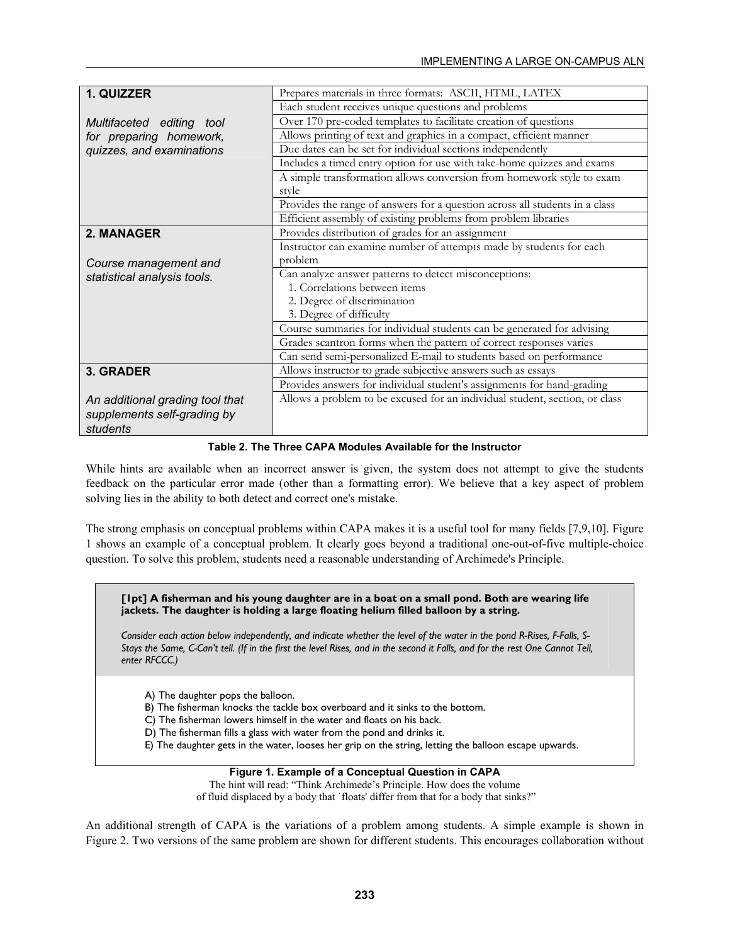| 1. QUIZZER                      | Prepares materials in three formats: ASCII, HTML, LATEX                     |  |
|---------------------------------|-----------------------------------------------------------------------------|--|
|                                 | Each student receives unique questions and problems                         |  |
| Multifaceted editing tool       | Over 170 pre-coded templates to facilitate creation of questions            |  |
| for preparing homework,         | Allows printing of text and graphics in a compact, efficient manner         |  |
| quizzes, and examinations       | Due dates can be set for individual sections independently                  |  |
|                                 | Includes a timed entry option for use with take-home quizzes and exams      |  |
|                                 | A simple transformation allows conversion from homework style to exam       |  |
|                                 | style                                                                       |  |
|                                 | Provides the range of answers for a question across all students in a class |  |
|                                 | Efficient assembly of existing problems from problem libraries              |  |
| 2. MANAGER                      | Provides distribution of grades for an assignment                           |  |
|                                 | Instructor can examine number of attempts made by students for each         |  |
| Course management and           | problem                                                                     |  |
| statistical analysis tools.     | Can analyze answer patterns to detect misconceptions:                       |  |
|                                 | 1. Correlations between items                                               |  |
|                                 | 2. Degree of discrimination                                                 |  |
|                                 | 3. Degree of difficulty                                                     |  |
|                                 | Course summaries for individual students can be generated for advising      |  |
|                                 | Grades scantron forms when the pattern of correct responses varies          |  |
|                                 | Can send semi-personalized E-mail to students based on performance          |  |
| 3. GRADER                       | Allows instructor to grade subjective answers such as essays                |  |
|                                 | Provides answers for individual student's assignments for hand-grading      |  |
| An additional grading tool that | Allows a problem to be excused for an individual student, section, or class |  |
| supplements self-grading by     |                                                                             |  |
| students                        |                                                                             |  |

#### **Table 2. The Three CAPA Modules Available for the Instructor**

While hints are available when an incorrect answer is given, the system does not attempt to give the students feedback on the particular error made (other than a formatting error). We believe that a key aspect of problem solving lies in the ability to both detect and correct one's mistake.

The strong emphasis on conceptual problems within CAPA makes it is a useful tool for many fields [7,9,10]. Figure 1 shows an example of a conceptual problem. It clearly goes beyond a traditional one-out-of-five multiple-choice question. To solve this problem, students need a reasonable understanding of Archimede's Principle.

**[1pt] A fisherman and his young daughter are in a boat on a small pond. Both are wearing life jackets. The daughter is holding a large floating helium filled balloon by a string.** 

*Consider each action below independently, and indicate whether the level of the water in the pond R-Rises, F-Falls, S-Stays the Same, C-Can't tell. (If in the first the level Rises, and in the second it Falls, and for the rest One Cannot Tell, enter RFCCC.)* 

A) The daughter pops the balloon.

B) The fisherman knocks the tackle box overboard and it sinks to the bottom.

C) The fisherman lowers himself in the water and floats on his back.

D) The fisherman fills a glass with water from the pond and drinks it.

E) The daughter gets in the water, looses her grip on the string, letting the balloon escape upwards.

#### **Figure 1. Example of a Conceptual Question in CAPA**

The hint will read: "Think Archimede's Principle. How does the volume of fluid displaced by a body that `floats' differ from that for a body that sinks?"

An additional strength of CAPA is the variations of a problem among students. A simple example is shown in Figure 2. Two versions of the same problem are shown for different students. This encourages collaboration without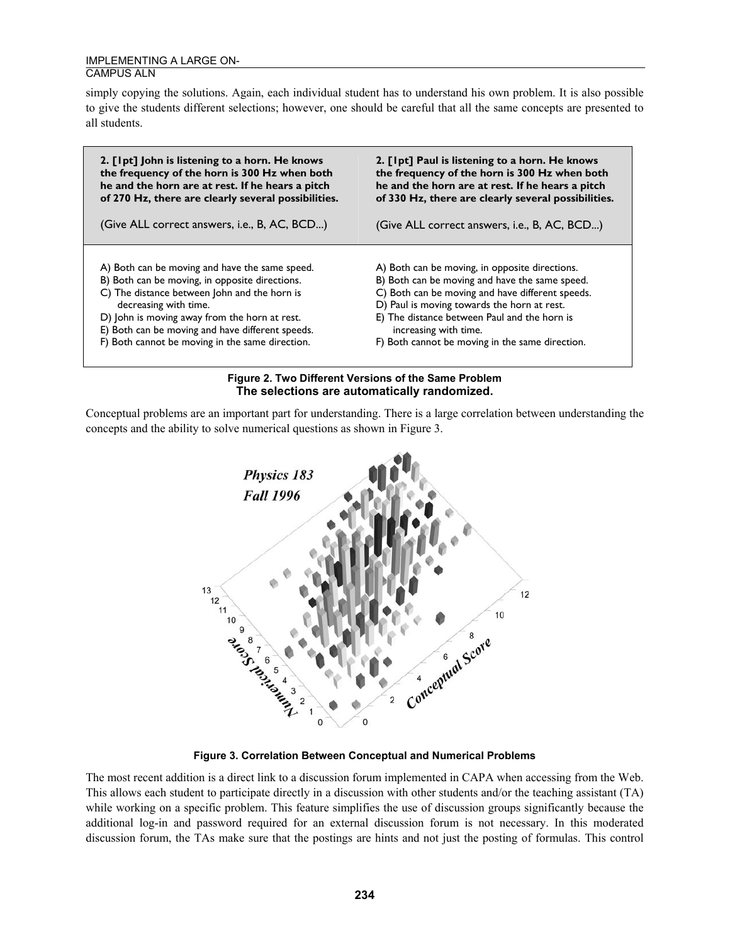simply copying the solutions. Again, each individual student has to understand his own problem. It is also possible to give the students different selections; however, one should be careful that all the same concepts are presented to all students.



#### **Figure 2. Two Different Versions of the Same Problem The selections are automatically randomized.**

Conceptual problems are an important part for understanding. There is a large correlation between understanding the concepts and the ability to solve numerical questions as shown in Figure 3.



**Figure 3. Correlation Between Conceptual and Numerical Problems** 

The most recent addition is a direct link to a discussion forum implemented in CAPA when accessing from the Web. This allows each student to participate directly in a discussion with other students and/or the teaching assistant (TA) while working on a specific problem. This feature simplifies the use of discussion groups significantly because the additional log-in and password required for an external discussion forum is not necessary. In this moderated discussion forum, the TAs make sure that the postings are hints and not just the posting of formulas. This control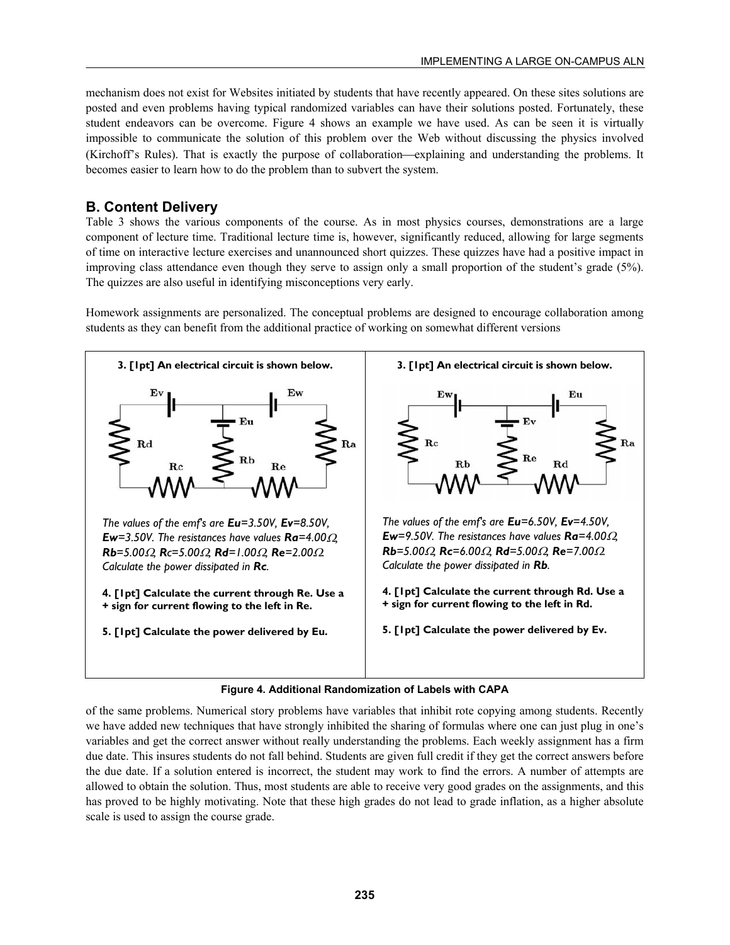mechanism does not exist for Websites initiated by students that have recently appeared. On these sites solutions are posted and even problems having typical randomized variables can have their solutions posted. Fortunately, these student endeavors can be overcome. Figure 4 shows an example we have used. As can be seen it is virtually impossible to communicate the solution of this problem over the Web without discussing the physics involved (Kirchoff's Rules). That is exactly the purpose of collaboration—explaining and understanding the problems. It becomes easier to learn how to do the problem than to subvert the system.

# **B. Content Delivery**

Table 3 shows the various components of the course. As in most physics courses, demonstrations are a large component of lecture time. Traditional lecture time is, however, significantly reduced, allowing for large segments of time on interactive lecture exercises and unannounced short quizzes. These quizzes have had a positive impact in improving class attendance even though they serve to assign only a small proportion of the student's grade (5%). The quizzes are also useful in identifying misconceptions very early.

Homework assignments are personalized. The conceptual problems are designed to encourage collaboration among students as they can benefit from the additional practice of working on somewhat different versions





of the same problems. Numerical story problems have variables that inhibit rote copying among students. Recently we have added new techniques that have strongly inhibited the sharing of formulas where one can just plug in one's variables and get the correct answer without really understanding the problems. Each weekly assignment has a firm due date. This insures students do not fall behind. Students are given full credit if they get the correct answers before the due date. If a solution entered is incorrect, the student may work to find the errors. A number of attempts are allowed to obtain the solution. Thus, most students are able to receive very good grades on the assignments, and this has proved to be highly motivating. Note that these high grades do not lead to grade inflation, as a higher absolute scale is used to assign the course grade.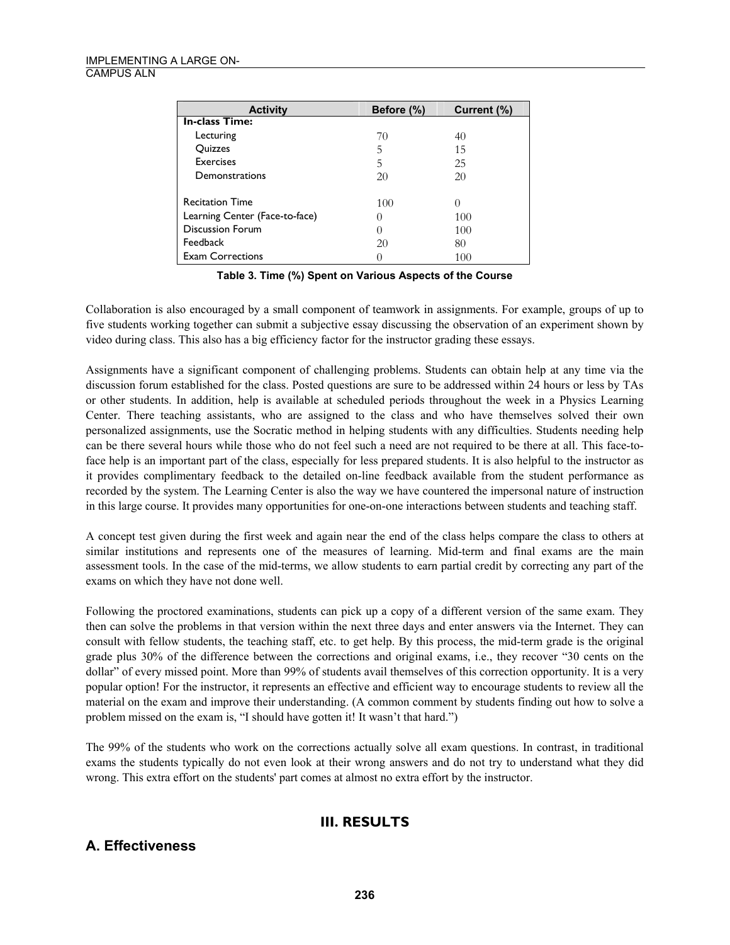| <b>Activity</b>                | Before (%) | Current (%)      |
|--------------------------------|------------|------------------|
| <b>In-class Time:</b>          |            |                  |
| Lecturing                      | 70         | 40               |
| Quizzes                        | 5          | 15               |
| Exercises                      | 5          | 25               |
| Demonstrations                 | 20         | 20               |
|                                |            |                  |
| <b>Recitation Time</b>         | 100        | $\left( \right)$ |
| Learning Center (Face-to-face) | 0          | 100              |
| <b>Discussion Forum</b>        | 0          | 100              |
| Feedback                       | 20         | 80               |
| <b>Exam Corrections</b>        | 0          | 100              |

**Table 3. Time (%) Spent on Various Aspects of the Course** 

Collaboration is also encouraged by a small component of teamwork in assignments. For example, groups of up to five students working together can submit a subjective essay discussing the observation of an experiment shown by video during class. This also has a big efficiency factor for the instructor grading these essays.

Assignments have a significant component of challenging problems. Students can obtain help at any time via the discussion forum established for the class. Posted questions are sure to be addressed within 24 hours or less by TAs or other students. In addition, help is available at scheduled periods throughout the week in a Physics Learning Center. There teaching assistants, who are assigned to the class and who have themselves solved their own personalized assignments, use the Socratic method in helping students with any difficulties. Students needing help can be there several hours while those who do not feel such a need are not required to be there at all. This face-toface help is an important part of the class, especially for less prepared students. It is also helpful to the instructor as it provides complimentary feedback to the detailed on-line feedback available from the student performance as recorded by the system. The Learning Center is also the way we have countered the impersonal nature of instruction in this large course. It provides many opportunities for one-on-one interactions between students and teaching staff.

A concept test given during the first week and again near the end of the class helps compare the class to others at similar institutions and represents one of the measures of learning. Mid-term and final exams are the main assessment tools. In the case of the mid-terms, we allow students to earn partial credit by correcting any part of the exams on which they have not done well.

Following the proctored examinations, students can pick up a copy of a different version of the same exam. They then can solve the problems in that version within the next three days and enter answers via the Internet. They can consult with fellow students, the teaching staff, etc. to get help. By this process, the mid-term grade is the original grade plus 30% of the difference between the corrections and original exams, i.e., they recover "30 cents on the dollar" of every missed point. More than 99% of students avail themselves of this correction opportunity. It is a very popular option! For the instructor, it represents an effective and efficient way to encourage students to review all the material on the exam and improve their understanding. (A common comment by students finding out how to solve a problem missed on the exam is, "I should have gotten it! It wasn't that hard.")

The 99% of the students who work on the corrections actually solve all exam questions. In contrast, in traditional exams the students typically do not even look at their wrong answers and do not try to understand what they did wrong. This extra effort on the students' part comes at almost no extra effort by the instructor.

#### **III. RESULTS**

### **A. Effectiveness**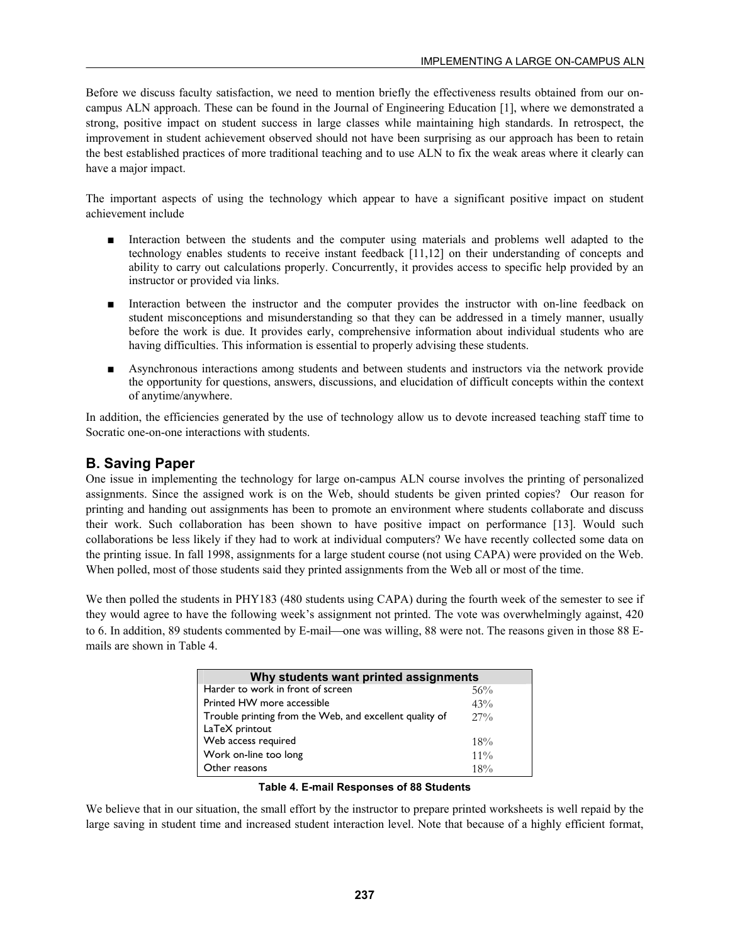Before we discuss faculty satisfaction, we need to mention briefly the effectiveness results obtained from our oncampus ALN approach. These can be found in the Journal of Engineering Education [1], where we demonstrated a strong, positive impact on student success in large classes while maintaining high standards. In retrospect, the improvement in student achievement observed should not have been surprising as our approach has been to retain the best established practices of more traditional teaching and to use ALN to fix the weak areas where it clearly can have a major impact.

The important aspects of using the technology which appear to have a significant positive impact on student achievement include

- Interaction between the students and the computer using materials and problems well adapted to the technology enables students to receive instant feedback [11,12] on their understanding of concepts and ability to carry out calculations properly. Concurrently, it provides access to specific help provided by an instructor or provided via links.
- Interaction between the instructor and the computer provides the instructor with on-line feedback on student misconceptions and misunderstanding so that they can be addressed in a timely manner, usually before the work is due. It provides early, comprehensive information about individual students who are having difficulties. This information is essential to properly advising these students.
- Asynchronous interactions among students and between students and instructors via the network provide the opportunity for questions, answers, discussions, and elucidation of difficult concepts within the context of anytime/anywhere.

In addition, the efficiencies generated by the use of technology allow us to devote increased teaching staff time to Socratic one-on-one interactions with students.

#### **B. Saving Paper**

One issue in implementing the technology for large on-campus ALN course involves the printing of personalized assignments. Since the assigned work is on the Web, should students be given printed copies? Our reason for printing and handing out assignments has been to promote an environment where students collaborate and discuss their work. Such collaboration has been shown to have positive impact on performance [13]. Would such collaborations be less likely if they had to work at individual computers? We have recently collected some data on the printing issue. In fall 1998, assignments for a large student course (not using CAPA) were provided on the Web. When polled, most of those students said they printed assignments from the Web all or most of the time.

We then polled the students in PHY183 (480 students using CAPA) during the fourth week of the semester to see if they would agree to have the following week's assignment not printed. The vote was overwhelmingly against, 420 to 6. In addition, 89 students commented by E-mail—one was willing, 88 were not. The reasons given in those 88 Emails are shown in Table 4.

| Why students want printed assignments                   |        |  |  |  |
|---------------------------------------------------------|--------|--|--|--|
| Harder to work in front of screen                       | 56%    |  |  |  |
| Printed HW more accessible                              | 43%    |  |  |  |
| Trouble printing from the Web, and excellent quality of | $27\%$ |  |  |  |
| LaTeX printout                                          |        |  |  |  |
| Web access required                                     | $18\%$ |  |  |  |
| Work on-line too long                                   | $11\%$ |  |  |  |
| Other reasons                                           | $18\%$ |  |  |  |

**Table 4. E-mail Responses of 88 Students** 

We believe that in our situation, the small effort by the instructor to prepare printed worksheets is well repaid by the large saving in student time and increased student interaction level. Note that because of a highly efficient format,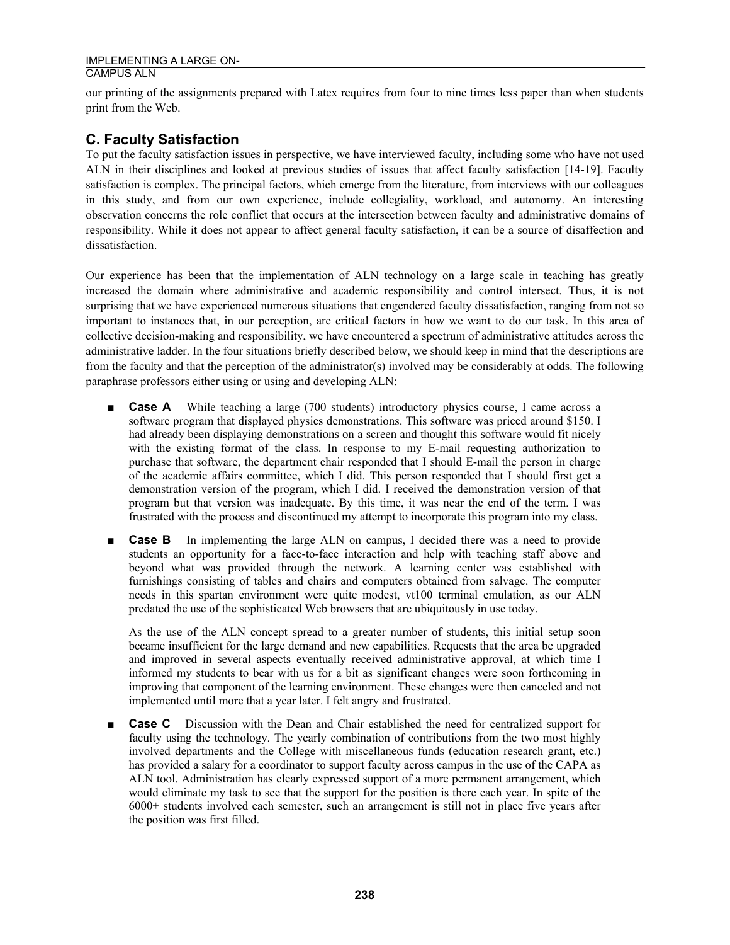our printing of the assignments prepared with Latex requires from four to nine times less paper than when students print from the Web.

### **C. Faculty Satisfaction**

To put the faculty satisfaction issues in perspective, we have interviewed faculty, including some who have not used ALN in their disciplines and looked at previous studies of issues that affect faculty satisfaction [14-19]. Faculty satisfaction is complex. The principal factors, which emerge from the literature, from interviews with our colleagues in this study, and from our own experience, include collegiality, workload, and autonomy. An interesting observation concerns the role conflict that occurs at the intersection between faculty and administrative domains of responsibility. While it does not appear to affect general faculty satisfaction, it can be a source of disaffection and dissatisfaction.

Our experience has been that the implementation of ALN technology on a large scale in teaching has greatly increased the domain where administrative and academic responsibility and control intersect. Thus, it is not surprising that we have experienced numerous situations that engendered faculty dissatisfaction, ranging from not so important to instances that, in our perception, are critical factors in how we want to do our task. In this area of collective decision-making and responsibility, we have encountered a spectrum of administrative attitudes across the administrative ladder. In the four situations briefly described below, we should keep in mind that the descriptions are from the faculty and that the perception of the administrator(s) involved may be considerably at odds. The following paraphrase professors either using or using and developing ALN:

- **Case A** While teaching a large (700 students) introductory physics course, I came across a software program that displayed physics demonstrations. This software was priced around \$150. I had already been displaying demonstrations on a screen and thought this software would fit nicely with the existing format of the class. In response to my E-mail requesting authorization to purchase that software, the department chair responded that I should E-mail the person in charge of the academic affairs committee, which I did. This person responded that I should first get a demonstration version of the program, which I did. I received the demonstration version of that program but that version was inadequate. By this time, it was near the end of the term. I was frustrated with the process and discontinued my attempt to incorporate this program into my class.
- **Case B** In implementing the large ALN on campus, I decided there was a need to provide students an opportunity for a face-to-face interaction and help with teaching staff above and beyond what was provided through the network. A learning center was established with furnishings consisting of tables and chairs and computers obtained from salvage. The computer needs in this spartan environment were quite modest, vt100 terminal emulation, as our ALN predated the use of the sophisticated Web browsers that are ubiquitously in use today.

As the use of the ALN concept spread to a greater number of students, this initial setup soon became insufficient for the large demand and new capabilities. Requests that the area be upgraded and improved in several aspects eventually received administrative approval, at which time I informed my students to bear with us for a bit as significant changes were soon forthcoming in improving that component of the learning environment. These changes were then canceled and not implemented until more that a year later. I felt angry and frustrated.

■ **Case C** – Discussion with the Dean and Chair established the need for centralized support for faculty using the technology. The yearly combination of contributions from the two most highly involved departments and the College with miscellaneous funds (education research grant, etc.) has provided a salary for a coordinator to support faculty across campus in the use of the CAPA as ALN tool. Administration has clearly expressed support of a more permanent arrangement, which would eliminate my task to see that the support for the position is there each year. In spite of the 6000+ students involved each semester, such an arrangement is still not in place five years after the position was first filled.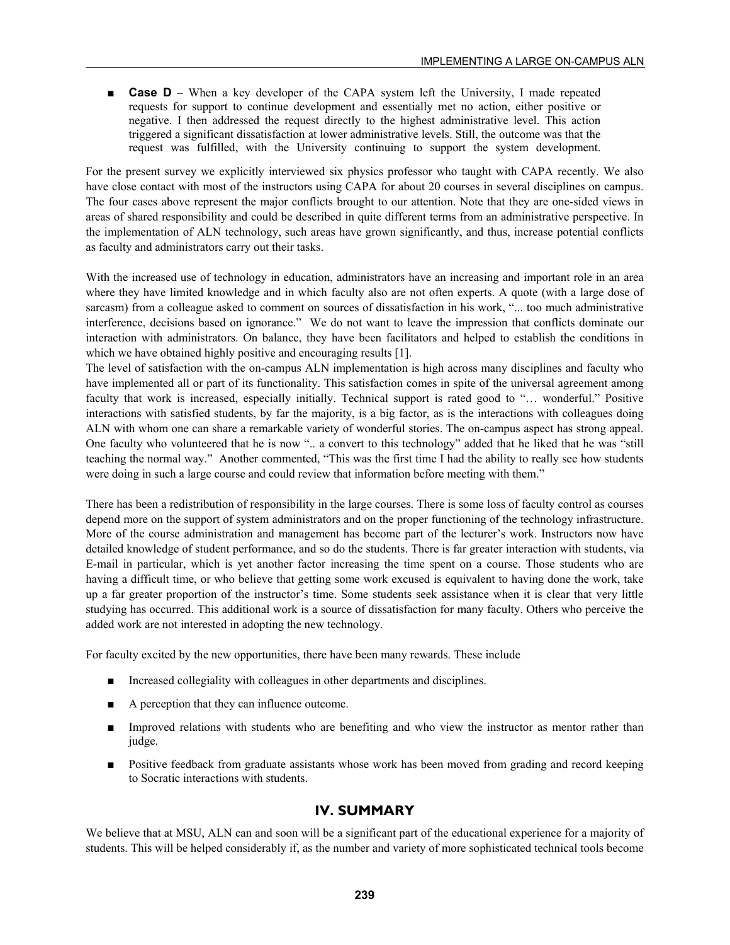■ **Case D** – When a key developer of the CAPA system left the University, I made repeated requests for support to continue development and essentially met no action, either positive or negative. I then addressed the request directly to the highest administrative level. This action triggered a significant dissatisfaction at lower administrative levels. Still, the outcome was that the request was fulfilled, with the University continuing to support the system development.

For the present survey we explicitly interviewed six physics professor who taught with CAPA recently. We also have close contact with most of the instructors using CAPA for about 20 courses in several disciplines on campus. The four cases above represent the major conflicts brought to our attention. Note that they are one-sided views in areas of shared responsibility and could be described in quite different terms from an administrative perspective. In the implementation of ALN technology, such areas have grown significantly, and thus, increase potential conflicts as faculty and administrators carry out their tasks.

With the increased use of technology in education, administrators have an increasing and important role in an area where they have limited knowledge and in which faculty also are not often experts. A quote (with a large dose of sarcasm) from a colleague asked to comment on sources of dissatisfaction in his work, "... too much administrative interference, decisions based on ignorance." We do not want to leave the impression that conflicts dominate our interaction with administrators. On balance, they have been facilitators and helped to establish the conditions in which we have obtained highly positive and encouraging results [1].

The level of satisfaction with the on-campus ALN implementation is high across many disciplines and faculty who have implemented all or part of its functionality. This satisfaction comes in spite of the universal agreement among faculty that work is increased, especially initially. Technical support is rated good to "… wonderful." Positive interactions with satisfied students, by far the majority, is a big factor, as is the interactions with colleagues doing ALN with whom one can share a remarkable variety of wonderful stories. The on-campus aspect has strong appeal. One faculty who volunteered that he is now ".. a convert to this technology" added that he liked that he was "still teaching the normal way." Another commented, "This was the first time I had the ability to really see how students were doing in such a large course and could review that information before meeting with them."

There has been a redistribution of responsibility in the large courses. There is some loss of faculty control as courses depend more on the support of system administrators and on the proper functioning of the technology infrastructure. More of the course administration and management has become part of the lecturer's work. Instructors now have detailed knowledge of student performance, and so do the students. There is far greater interaction with students, via E-mail in particular, which is yet another factor increasing the time spent on a course. Those students who are having a difficult time, or who believe that getting some work excused is equivalent to having done the work, take up a far greater proportion of the instructor's time. Some students seek assistance when it is clear that very little studying has occurred. This additional work is a source of dissatisfaction for many faculty. Others who perceive the added work are not interested in adopting the new technology.

For faculty excited by the new opportunities, there have been many rewards. These include

- Increased collegiality with colleagues in other departments and disciplines.
- A perception that they can influence outcome.
- Improved relations with students who are benefiting and who view the instructor as mentor rather than judge.
- Positive feedback from graduate assistants whose work has been moved from grading and record keeping to Socratic interactions with students.

#### **IV. SUMMARY**

We believe that at MSU, ALN can and soon will be a significant part of the educational experience for a majority of students. This will be helped considerably if, as the number and variety of more sophisticated technical tools become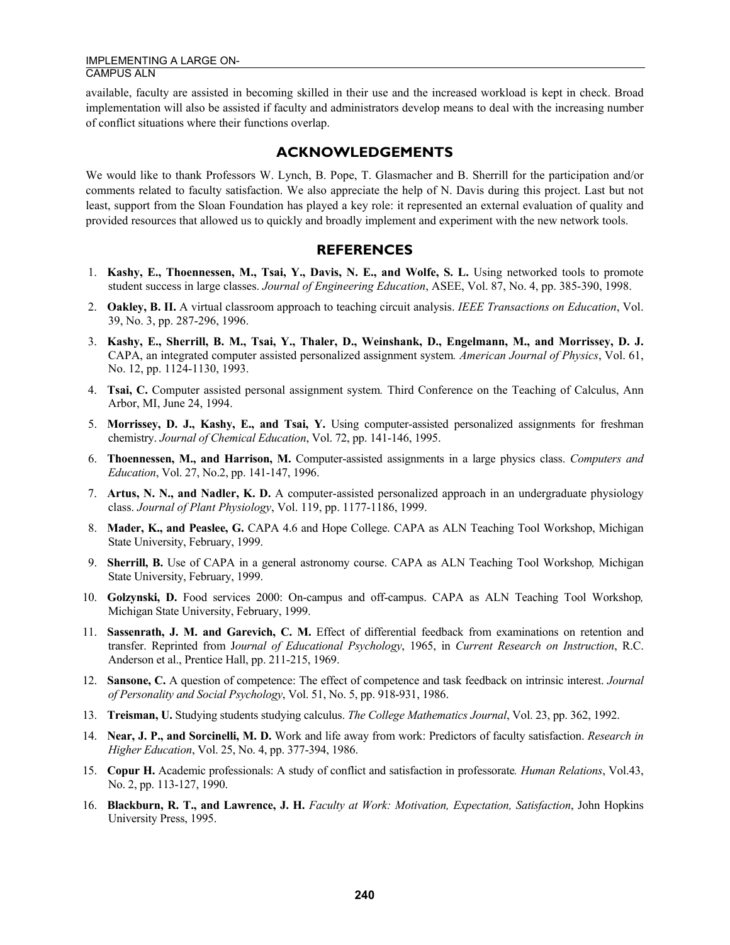available, faculty are assisted in becoming skilled in their use and the increased workload is kept in check. Broad implementation will also be assisted if faculty and administrators develop means to deal with the increasing number of conflict situations where their functions overlap.

#### **ACKNOWLEDGEMENTS**

We would like to thank Professors W. Lynch, B. Pope, T. Glasmacher and B. Sherrill for the participation and/or comments related to faculty satisfaction. We also appreciate the help of N. Davis during this project. Last but not least, support from the Sloan Foundation has played a key role: it represented an external evaluation of quality and provided resources that allowed us to quickly and broadly implement and experiment with the new network tools.

#### **REFERENCES**

- 1. **Kashy, E., Thoennessen, M., Tsai, Y., Davis, N. E., and Wolfe, S. L.** Using networked tools to promote student success in large classes. *Journal of Engineering Education*, ASEE, Vol. 87, No. 4, pp. 385-390, 1998.
- 2. **Oakley, B. II.** A virtual classroom approach to teaching circuit analysis. *IEEE Transactions on Education*, Vol. 39, No. 3, pp. 287-296, 1996.
- 3. **Kashy, E., Sherrill, B. M., Tsai, Y., Thaler, D., Weinshank, D., Engelmann, M., and Morrissey, D. J.** CAPA, an integrated computer assisted personalized assignment system*. American Journal of Physics*, Vol. 61, No. 12, pp. 1124-1130, 1993.
- 4. **Tsai, C.** Computer assisted personal assignment system*.* Third Conference on the Teaching of Calculus, Ann Arbor, MI, June 24, 1994.
- 5. **Morrissey, D. J., Kashy, E., and Tsai, Y.** Using computer-assisted personalized assignments for freshman chemistry. *Journal of Chemical Education*, Vol. 72, pp. 141-146, 1995.
- 6. **Thoennessen, M., and Harrison, M.** Computer-assisted assignments in a large physics class. *Computers and Education*, Vol. 27, No.2, pp. 141-147, 1996.
- 7. **Artus, N. N., and Nadler, K. D.** A computer-assisted personalized approach in an undergraduate physiology class. *Journal of Plant Physiology*, Vol. 119, pp. 1177-1186, 1999.
- 8. **Mader, K., and Peaslee, G.** CAPA 4.6 and Hope College. CAPA as ALN Teaching Tool Workshop, Michigan State University, February, 1999.
- 9. **Sherrill, B.** Use of CAPA in a general astronomy course. CAPA as ALN Teaching Tool Workshop*,* Michigan State University, February, 1999.
- 10. **Golzynski, D.** Food services 2000: On-campus and off-campus. CAPA as ALN Teaching Tool Workshop*,*  Michigan State University, February, 1999.
- 11. **Sassenrath, J. M. and Garevich, C. M.** Effect of differential feedback from examinations on retention and transfer. Reprinted from J*ournal of Educational Psychology*, 1965, in *Current Research on Instruction*, R.C. Anderson et al., Prentice Hall, pp. 211-215, 1969.
- 12. **Sansone, C.** A question of competence: The effect of competence and task feedback on intrinsic interest. *Journal of Personality and Social Psychology*, Vol. 51, No. 5, pp. 918-931, 1986.
- 13. **Treisman, U.** Studying students studying calculus. *The College Mathematics Journal*, Vol. 23, pp. 362, 1992.
- 14. **Near, J. P., and Sorcinelli, M. D.** Work and life away from work: Predictors of faculty satisfaction. *Research in Higher Education*, Vol. 25, No. 4, pp. 377-394, 1986.
- 15. **Copur H.** Academic professionals: A study of conflict and satisfaction in professorate*. Human Relations*, Vol.43, No. 2, pp. 113-127, 1990.
- 16. **Blackburn, R. T., and Lawrence, J. H.** *Faculty at Work: Motivation, Expectation, Satisfaction*, John Hopkins University Press, 1995.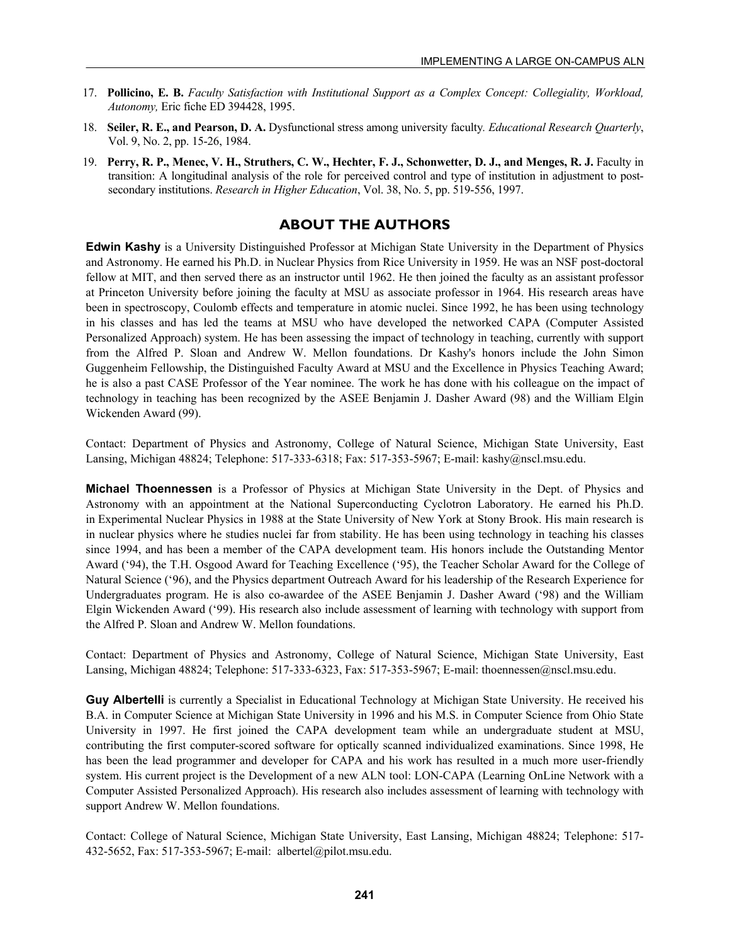- 17. **Pollicino, E. B.** *Faculty Satisfaction with Institutional Support as a Complex Concept: Collegiality, Workload, Autonomy,* Eric fiche ED 394428, 1995.
- 18. **Seiler, R. E., and Pearson, D. A.** Dysfunctional stress among university faculty*. Educational Research Quarterly*, Vol. 9, No. 2, pp. 15-26, 1984.
- 19. **Perry, R. P., Menec, V. H., Struthers, C. W., Hechter, F. J., Schonwetter, D. J., and Menges, R. J.** Faculty in transition: A longitudinal analysis of the role for perceived control and type of institution in adjustment to postsecondary institutions. *Research in Higher Education*, Vol. 38, No. 5, pp. 519-556, 1997.

#### **ABOUT THE AUTHORS**

**Edwin Kashy** is a University Distinguished Professor at Michigan State University in the Department of Physics and Astronomy. He earned his Ph.D. in Nuclear Physics from Rice University in 1959. He was an NSF post-doctoral fellow at MIT, and then served there as an instructor until 1962. He then joined the faculty as an assistant professor at Princeton University before joining the faculty at MSU as associate professor in 1964. His research areas have been in spectroscopy, Coulomb effects and temperature in atomic nuclei. Since 1992, he has been using technology in his classes and has led the teams at MSU who have developed the networked CAPA (Computer Assisted Personalized Approach) system. He has been assessing the impact of technology in teaching, currently with support from the Alfred P. Sloan and Andrew W. Mellon foundations. Dr Kashy's honors include the John Simon Guggenheim Fellowship, the Distinguished Faculty Award at MSU and the Excellence in Physics Teaching Award; he is also a past CASE Professor of the Year nominee. The work he has done with his colleague on the impact of technology in teaching has been recognized by the ASEE Benjamin J. Dasher Award (98) and the William Elgin Wickenden Award (99).

Contact: Department of Physics and Astronomy, College of Natural Science, Michigan State University, East Lansing, Michigan 48824; Telephone: 517-333-6318; Fax: 517-353-5967; E-mail: kashy@nscl.msu.edu.

**Michael Thoennessen** is a Professor of Physics at Michigan State University in the Dept. of Physics and Astronomy with an appointment at the National Superconducting Cyclotron Laboratory. He earned his Ph.D. in Experimental Nuclear Physics in 1988 at the State University of New York at Stony Brook. His main research is in nuclear physics where he studies nuclei far from stability. He has been using technology in teaching his classes since 1994, and has been a member of the CAPA development team. His honors include the Outstanding Mentor Award ('94), the T.H. Osgood Award for Teaching Excellence ('95), the Teacher Scholar Award for the College of Natural Science ('96), and the Physics department Outreach Award for his leadership of the Research Experience for Undergraduates program. He is also co-awardee of the ASEE Benjamin J. Dasher Award ('98) and the William Elgin Wickenden Award ('99). His research also include assessment of learning with technology with support from the Alfred P. Sloan and Andrew W. Mellon foundations.

Contact: Department of Physics and Astronomy, College of Natural Science, Michigan State University, East Lansing, Michigan 48824; Telephone: 517-333-6323, Fax: 517-353-5967; E-mail: thoennessen@nscl.msu.edu.

**Guy Albertelli** is currently a Specialist in Educational Technology at Michigan State University. He received his B.A. in Computer Science at Michigan State University in 1996 and his M.S. in Computer Science from Ohio State University in 1997. He first joined the CAPA development team while an undergraduate student at MSU, contributing the first computer-scored software for optically scanned individualized examinations. Since 1998, He has been the lead programmer and developer for CAPA and his work has resulted in a much more user-friendly system. His current project is the Development of a new ALN tool: LON-CAPA (Learning OnLine Network with a Computer Assisted Personalized Approach). His research also includes assessment of learning with technology with support Andrew W. Mellon foundations.

Contact: College of Natural Science, Michigan State University, East Lansing, Michigan 48824; Telephone: 517- 432-5652, Fax: 517-353-5967; E-mail: albertel@pilot.msu.edu.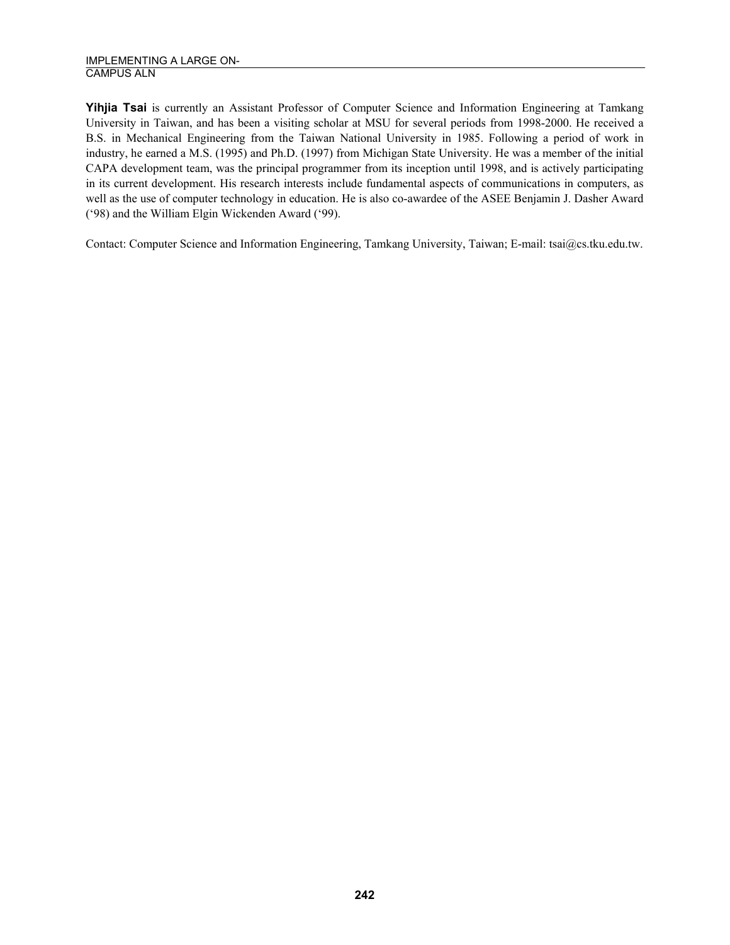**Yihjia Tsai** is currently an Assistant Professor of Computer Science and Information Engineering at Tamkang University in Taiwan, and has been a visiting scholar at MSU for several periods from 1998-2000. He received a B.S. in Mechanical Engineering from the Taiwan National University in 1985. Following a period of work in industry, he earned a M.S. (1995) and Ph.D. (1997) from Michigan State University. He was a member of the initial CAPA development team, was the principal programmer from its inception until 1998, and is actively participating in its current development. His research interests include fundamental aspects of communications in computers, as well as the use of computer technology in education. He is also co-awardee of the ASEE Benjamin J. Dasher Award ('98) and the William Elgin Wickenden Award ('99).

Contact: Computer Science and Information Engineering, Tamkang University, Taiwan; E-mail: tsai@cs.tku.edu.tw.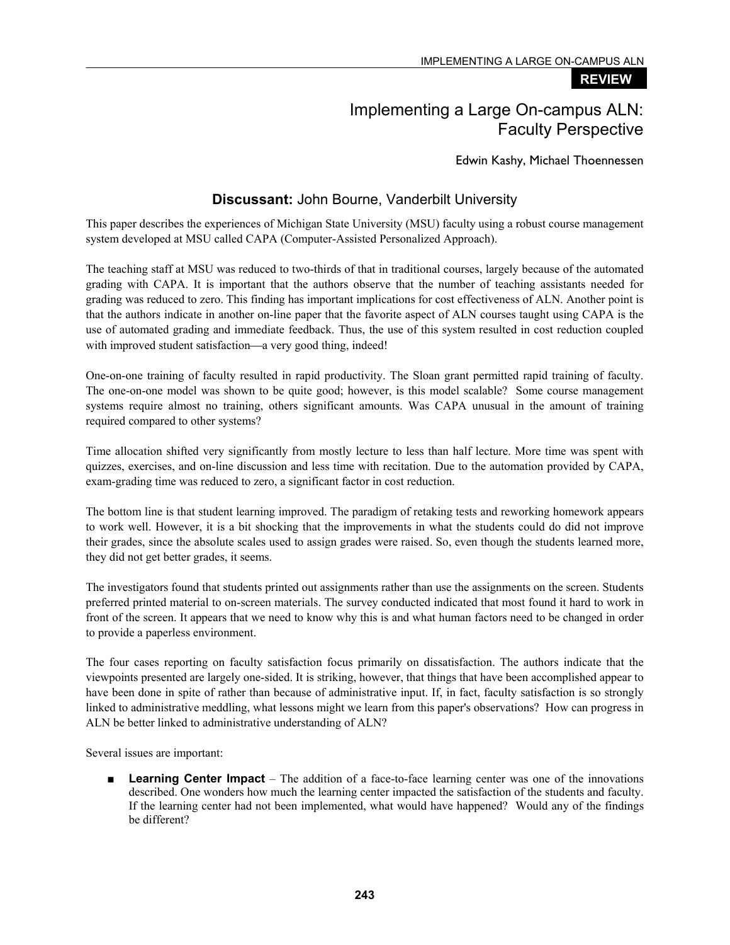#### **REVIEW**

# Implementing a Large On-campus ALN: Faculty Perspective

Edwin Kashy, Michael Thoennessen

### **Discussant:** John Bourne, Vanderbilt University

This paper describes the experiences of Michigan State University (MSU) faculty using a robust course management system developed at MSU called CAPA (Computer-Assisted Personalized Approach).

The teaching staff at MSU was reduced to two-thirds of that in traditional courses, largely because of the automated grading with CAPA. It is important that the authors observe that the number of teaching assistants needed for grading was reduced to zero. This finding has important implications for cost effectiveness of ALN. Another point is that the authors indicate in another on-line paper that the favorite aspect of ALN courses taught using CAPA is the use of automated grading and immediate feedback. Thus, the use of this system resulted in cost reduction coupled with improved student satisfaction—a very good thing, indeed!

One-on-one training of faculty resulted in rapid productivity. The Sloan grant permitted rapid training of faculty. The one-on-one model was shown to be quite good; however, is this model scalable? Some course management systems require almost no training, others significant amounts. Was CAPA unusual in the amount of training required compared to other systems?

Time allocation shifted very significantly from mostly lecture to less than half lecture. More time was spent with quizzes, exercises, and on-line discussion and less time with recitation. Due to the automation provided by CAPA, exam-grading time was reduced to zero, a significant factor in cost reduction.

The bottom line is that student learning improved. The paradigm of retaking tests and reworking homework appears to work well. However, it is a bit shocking that the improvements in what the students could do did not improve their grades, since the absolute scales used to assign grades were raised. So, even though the students learned more, they did not get better grades, it seems.

The investigators found that students printed out assignments rather than use the assignments on the screen. Students preferred printed material to on-screen materials. The survey conducted indicated that most found it hard to work in front of the screen. It appears that we need to know why this is and what human factors need to be changed in order to provide a paperless environment.

The four cases reporting on faculty satisfaction focus primarily on dissatisfaction. The authors indicate that the viewpoints presented are largely one-sided. It is striking, however, that things that have been accomplished appear to have been done in spite of rather than because of administrative input. If, in fact, faculty satisfaction is so strongly linked to administrative meddling, what lessons might we learn from this paper's observations? How can progress in ALN be better linked to administrative understanding of ALN?

Several issues are important:

■ **Learning Center Impact** – The addition of a face-to-face learning center was one of the innovations described. One wonders how much the learning center impacted the satisfaction of the students and faculty. If the learning center had not been implemented, what would have happened? Would any of the findings be different?